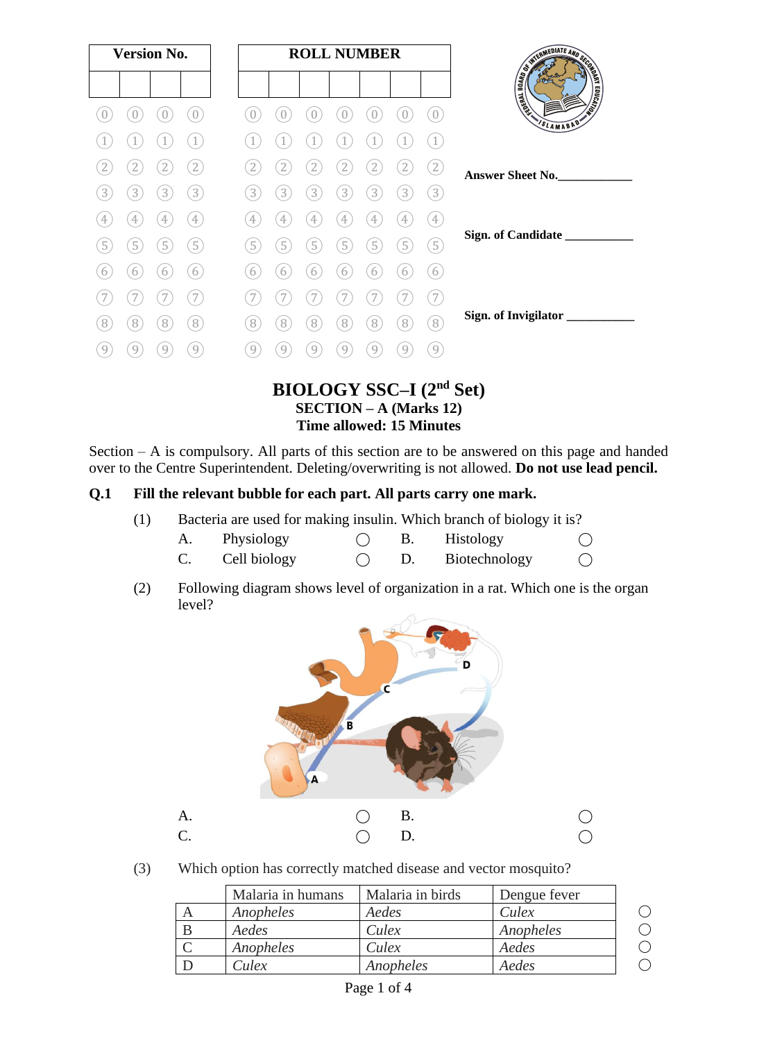| <b>Version No.</b> |   |                |                   |   |   |   | <b>ROLL NUMBER</b> |   |                |                   | <b>CONTRACT AND SCRIPTION OF REAL PROPERTY.</b> |
|--------------------|---|----------------|-------------------|---|---|---|--------------------|---|----------------|-------------------|-------------------------------------------------|
|                    |   |                |                   |   |   |   |                    |   |                |                   |                                                 |
|                    |   |                | $\overline{0}$    |   |   |   | U                  |   |                | $\boldsymbol{0}$  | SLAMABAD"                                       |
|                    |   |                |                   |   |   |   |                    |   |                |                   |                                                 |
|                    |   |                | ${2}$             |   |   |   | 2                  | 2 | $\mathbf{2}$   | $\boxed{2}$       | Answer Sheet No.                                |
| 3                  | 3 | 3              | $\left(3\right)$  | 3 | 3 | 3 | 3                  | 3 | $\overline{3}$ | $\left(3\right)$  |                                                 |
| 4                  | 4 | 4              | $\left( 4\right)$ | 4 | 4 | 4 | 4                  | 4 | $\overline{4}$ | $\left( 4\right)$ |                                                 |
| 5                  | 5 | 5              | $\sqrt{5}$        | 5 | 5 | 5 | 5                  | 5 | $\boxed{5}$    | $\left(5\right)$  | Sign. of Candidate ____________                 |
| b                  | 6 | 6              | 6                 | 6 | 6 | 6 | 6                  | 6 | 6              | 6                 |                                                 |
|                    |   |                |                   |   |   |   |                    |   |                | .7'               |                                                 |
| 8                  | 8 | $\overline{8}$ | $\left[8\right]$  | 8 | 8 | 8 | 8                  | 8 | 8              | $\left[8\right]$  | Sign. of Invigilator ___________                |
| 9                  | 9 | 9              | 9                 | 9 | 9 | 9 | 9                  | 9 | 9              | 9                 |                                                 |
|                    |   |                |                   |   |   |   |                    |   |                |                   | <b>DIAL ACV CCC</b> I (2nd $C_{\alpha}$ )       |

### **BIOLOGY SSC–I (2nd Set) SECTION – A (Marks 12) Time allowed: 15 Minutes**

Section – A is compulsory. All parts of this section are to be answered on this page and handed over to the Centre Superintendent. Deleting/overwriting is not allowed. **Do not use lead pencil.**

#### **Q.1 Fill the relevant bubble for each part. All parts carry one mark.**

- (1) Bacteria are used for making insulin. Which branch of biology it is?
	- A. Physiology  $\bigcirc$  B. Histology  $\bigcirc$
	- C. Cell biology  $\bigcirc$  D. Biotechnology  $\bigcirc$
- (2) Following diagram shows level of organization in a rat. Which one is the organ level?



(3) Which option has correctly matched disease and vector mosquito?

| Malaria in humans | Malaria in birds | Dengue fever |  |
|-------------------|------------------|--------------|--|
| Anopheles         | Aedes            | <i>Culex</i> |  |
| Aedes             | Culex            | Anopheles    |  |
| Anopheles         | Culex            | Aedes        |  |
| <i>Culex</i>      | Anopheles        | Aedes        |  |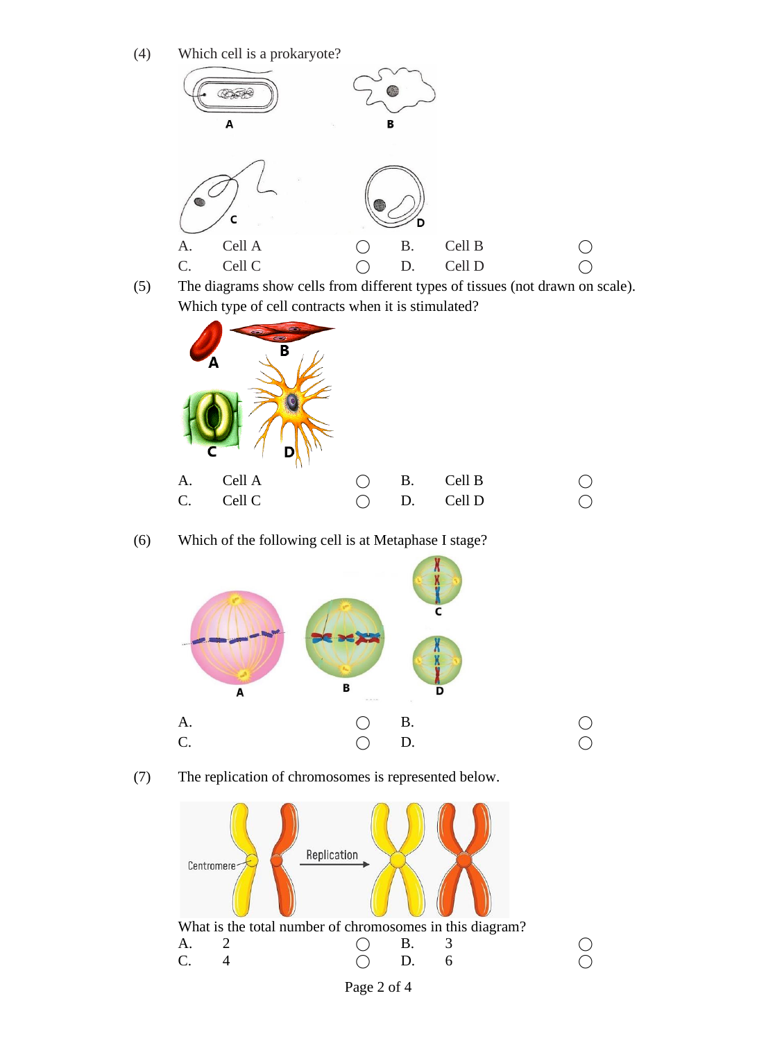(4) Which cell is a prokaryote?



(5) The diagrams show cells from different types of tissues (not drawn on scale). Which type of cell contracts when it is stimulated?



(6) Which of the following cell is at Metaphase I stage?





(7) The replication of chromosomes is represented below.



Page 2 of 4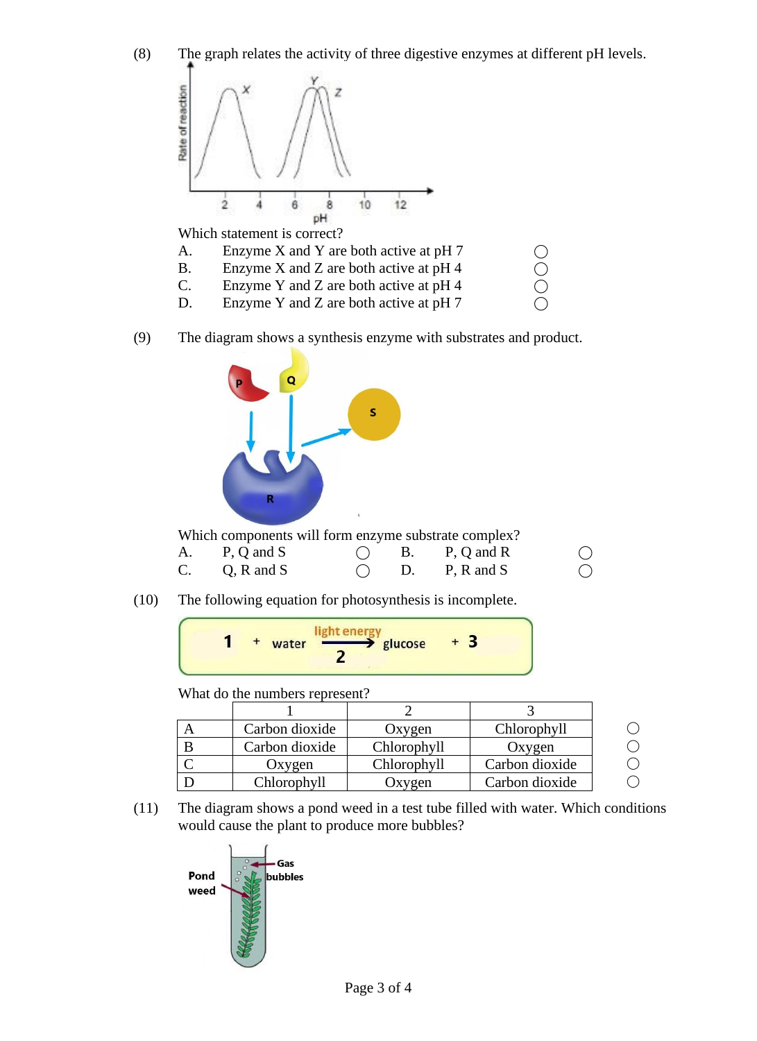

(9) The diagram shows a synthesis enzyme with substrates and product.



Which components will form enzyme substrate complex?

| A. | P, Q and S |  | B. P, Q and R            | $\bigcirc$ |
|----|------------|--|--------------------------|------------|
| C. | Q, R and S |  | D. $P, R \text{ and } S$ |            |

(10) The following equation for photosynthesis is incomplete.

$$
1 + \text{water } \frac{\text{light energy}}{2} \text{ glucose } + 3
$$

What do the numbers represent?

| Carbon dioxide | Oxygen      | Chlorophyll    |  |
|----------------|-------------|----------------|--|
| Carbon dioxide | Chlorophyll | Oxygen         |  |
| Oxygen         | Chlorophyll | Carbon dioxide |  |
| Chlorophyll    | )xygen      | Carbon dioxide |  |

(11) The diagram shows a pond weed in a test tube filled with water. Which conditions would cause the plant to produce more bubbles?

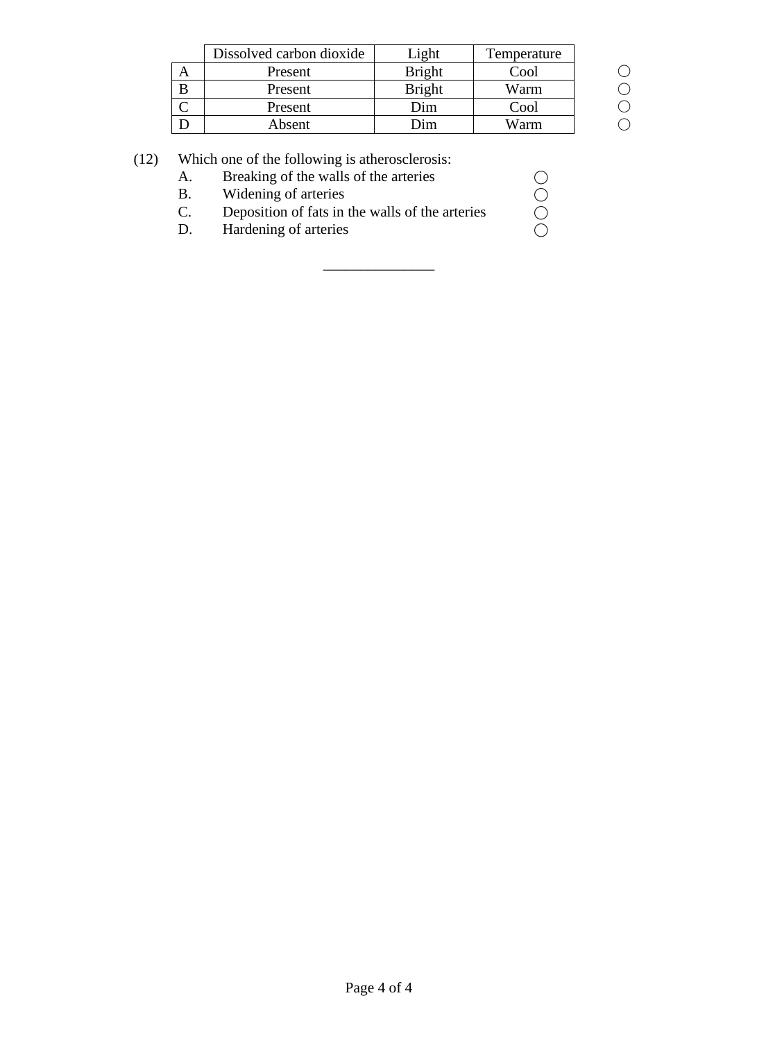| Dissolved carbon dioxide | ight          | Temperature |  |
|--------------------------|---------------|-------------|--|
| Present                  | <b>Bright</b> | Cool        |  |
| Present                  | <b>Bright</b> | Warm        |  |
| Present                  | )im           | Cool        |  |
| Absent                   | 'ım           | Warm        |  |

# (12) Which one of the following is atherosclerosis:

| A. | Breaking of the walls of the arteries           |  |
|----|-------------------------------------------------|--|
| В. | Widening of arteries                            |  |
| C. | Deposition of fats in the walls of the arteries |  |
| D. | Hardening of arteries                           |  |
|    |                                                 |  |

\_\_\_\_\_\_\_\_\_\_\_\_\_\_\_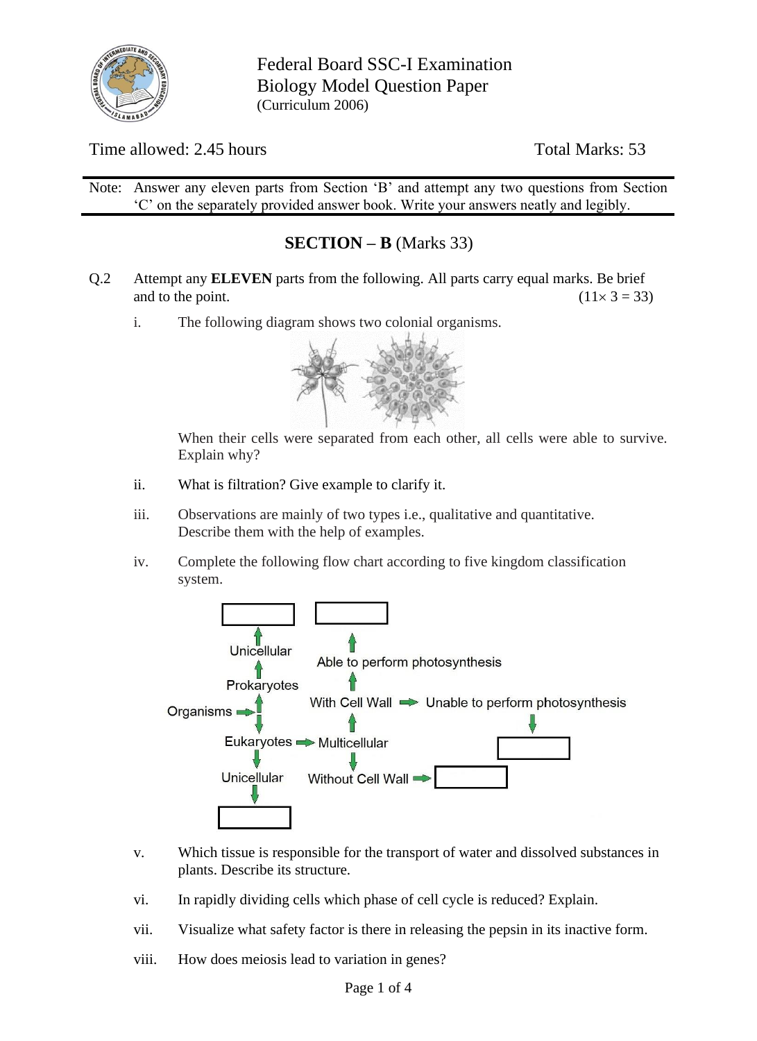

Federal Board SSC-I Examination Biology Model Question Paper (Curriculum 2006)

## Time allowed: 2.45 hours Total Marks: 53

Note: Answer any eleven parts from Section 'B' and attempt any two questions from Section 'C' on the separately provided answer book. Write your answers neatly and legibly.

## **SECTION – B** (Marks 33)

- Q.2 Attempt any **ELEVEN** parts from the following. All parts carry equal marks. Be brief and to the point. (11  $\times$  3 = 33)
	- i. The following diagram shows two colonial organisms.



When their cells were separated from each other, all cells were able to survive. Explain why?

- ii. What is filtration? Give example to clarify it.
- iii. Observations are mainly of two types i.e., qualitative and quantitative. Describe them with the help of examples.
- iv. Complete the following flow chart according to five kingdom classification system.



- v. Which tissue is responsible for the transport of water and dissolved substances in plants. Describe its structure.
- vi. In rapidly dividing cells which phase of cell cycle is reduced? Explain.
- vii. Visualize what safety factor is there in releasing the pepsin in its inactive form.
- viii. How does meiosis lead to variation in genes?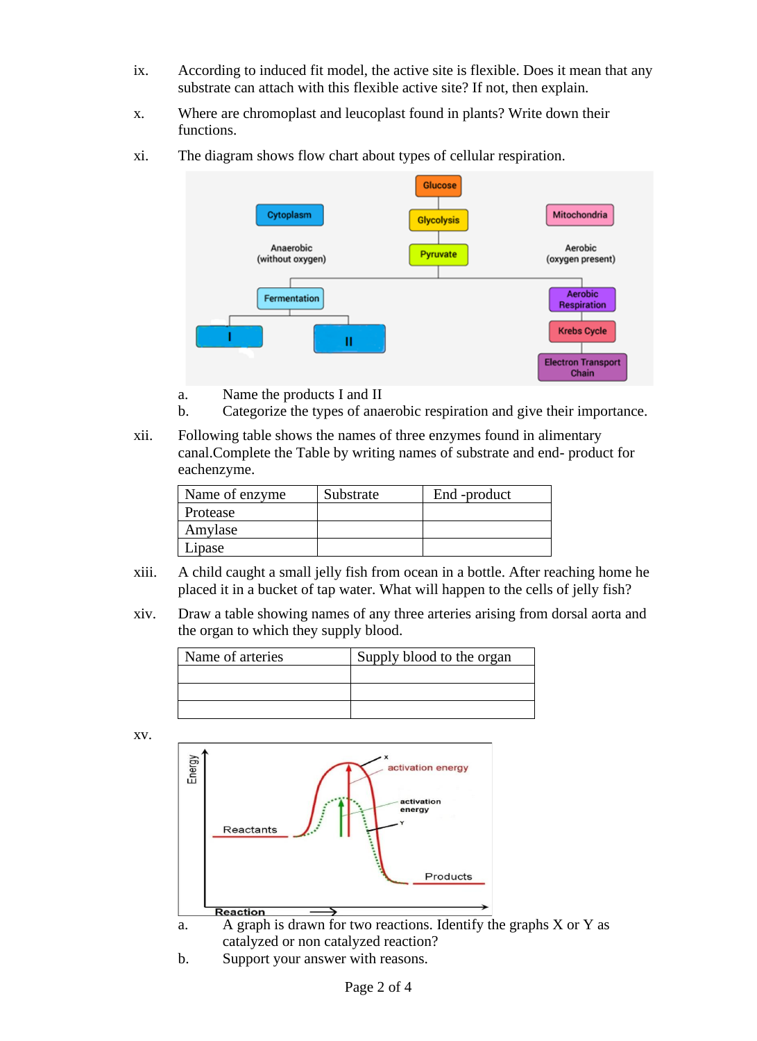- ix. According to induced fit model, the active site is flexible. Does it mean that any substrate can attach with this flexible active site? If not, then explain.
- x. Where are chromoplast and leucoplast found in plants? Write down their functions.
- xi. The diagram shows flow chart about types of cellular respiration.



- a. Name the products I and II
- b. Categorize the types of anaerobic respiration and give their importance.
- xii. Following table shows the names of three enzymes found in alimentary canal.Complete the Table by writing names of substrate and end- product for eachenzyme.

| Name of enzyme. | Substrate | End -product |
|-----------------|-----------|--------------|
| Protease        |           |              |
| Amylase         |           |              |
| Lipase          |           |              |

- xiii. A child caught a small jelly fish from ocean in a bottle. After reaching home he placed it in a bucket of tap water. What will happen to the cells of jelly fish?
- xiv. Draw a table showing names of any three arteries arising from dorsal aorta and the organ to which they supply blood.

| Name of arteries | Supply blood to the organ |
|------------------|---------------------------|
|                  |                           |
|                  |                           |
|                  |                           |

xv.



a. A graph is drawn for two reactions. Identify the graphs X or Y as catalyzed or non catalyzed reaction?

b. Support your answer with reasons.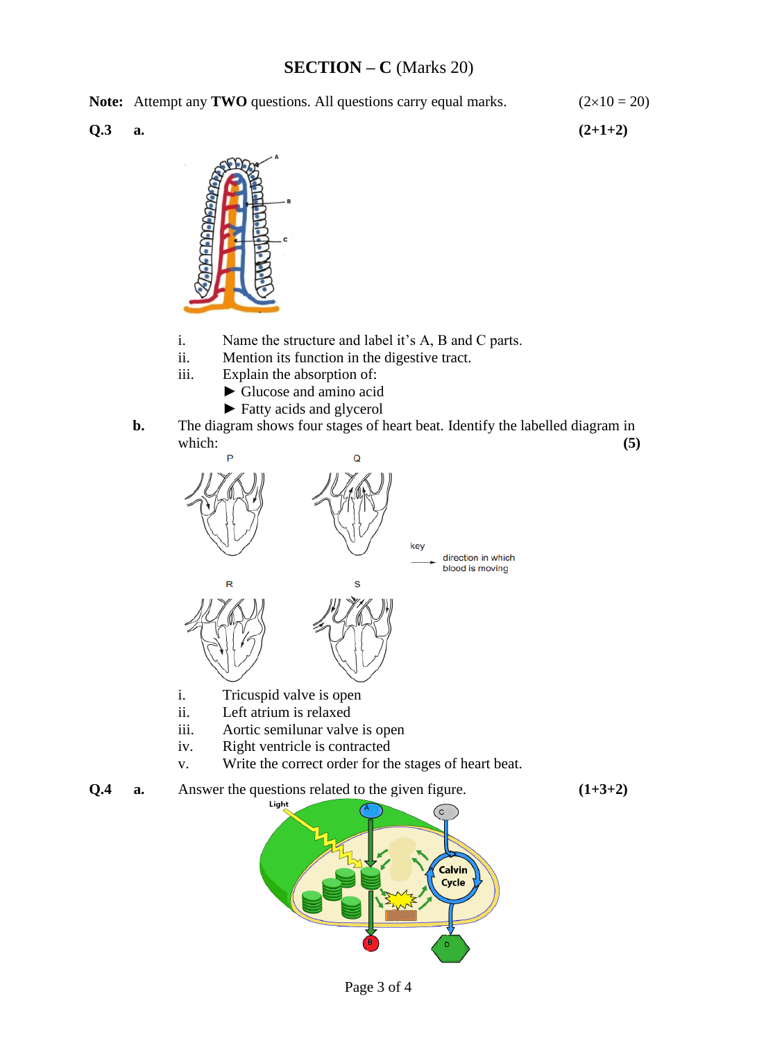## **SECTION – C** (Marks 20)

**Note:** Attempt any **TWO** questions. All questions carry equal marks.  $(2 \times 10 = 20)$ 

**Q.3 a. (2+1+2)**



- i. Name the structure and label it's A, B and C parts.
- ii. Mention its function in the digestive tract.<br>iii. Explain the absorption of:
- Explain the absorption of:
	- ► Glucose and amino acid
	- ► Fatty acids and glycerol
- **b.** The diagram shows four stages of heart beat. Identify the labelled diagram in which: **(5)**  $\qquad$



- 
- ii. Left atrium is relaxed
- iii. Aortic semilunar valve is open
- iv. Right ventricle is contracted
- v. Write the correct order for the stages of heart beat.
- **Q.4 a.** Answer the questions related to the given figure.  $(1+3+2)$

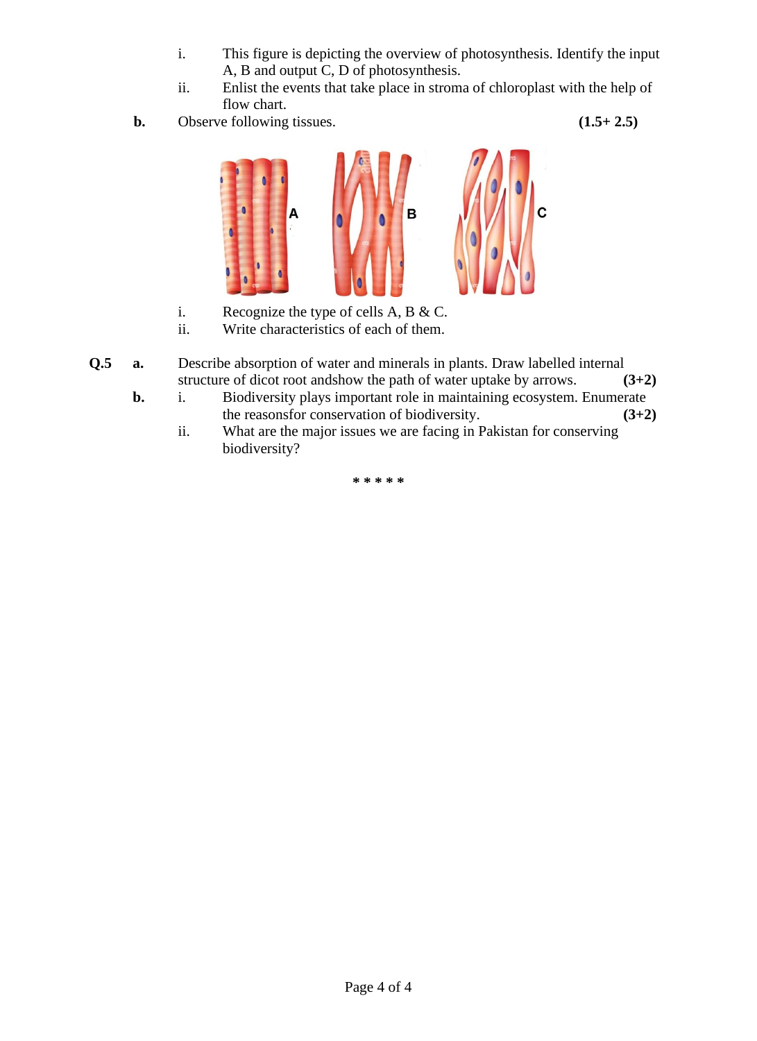- i. This figure is depicting the overview of photosynthesis. Identify the input A, B and output C, D of photosynthesis.
- ii. Enlist the events that take place in stroma of chloroplast with the help of flow chart.
- **b.** Observe following tissues. **(1.5+ 2.5)**



- i. Recognize the type of cells A, B & C.
- ii. Write characteristics of each of them.
- **Q.5 a.** Describe absorption of water and minerals in plants. Draw labelled internal structure of dicot root andshow the path of water uptake by arrows. **(3+2)**
	- **b.** i. Biodiversity plays important role in maintaining ecosystem. Enumerate the reasonsfor conservation of biodiversity. **(3+2)**
		- ii. What are the major issues we are facing in Pakistan for conserving biodiversity?

**\* \* \* \* \***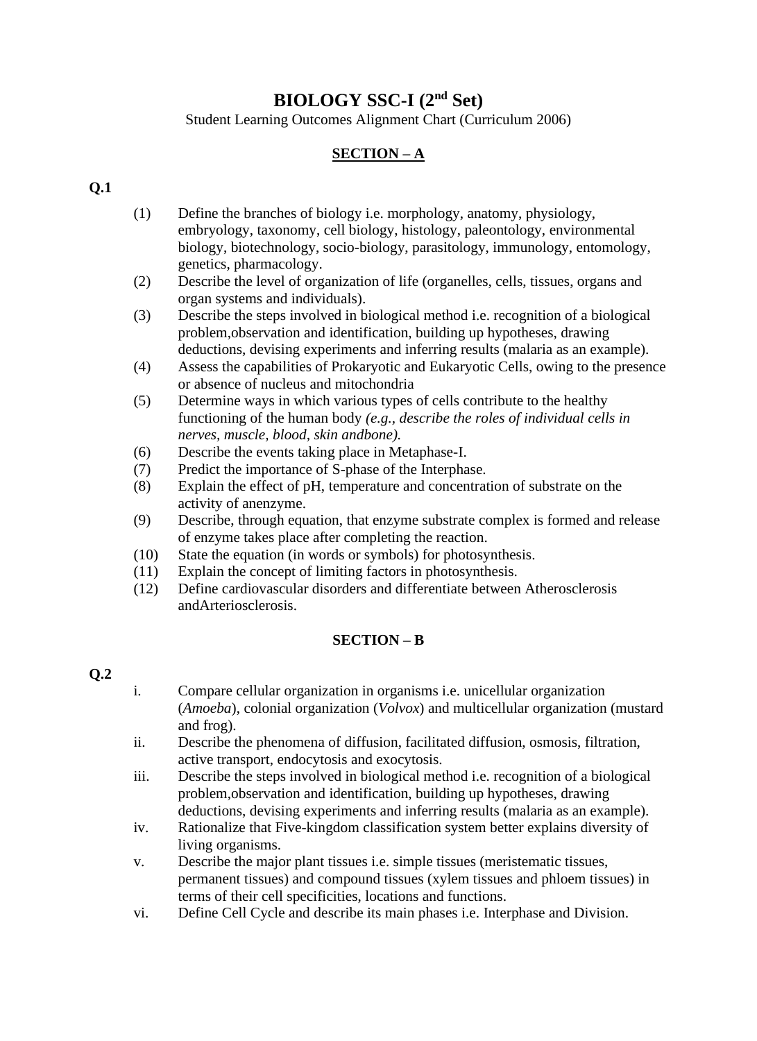# **BIOLOGY SSC-I (2nd Set)**

Student Learning Outcomes Alignment Chart (Curriculum 2006)

## **SECTION – A**

#### **Q.1**

- (1) Define the branches of biology i.e. morphology, anatomy, physiology, embryology, taxonomy, cell biology, histology, paleontology, environmental biology, biotechnology, socio-biology, parasitology, immunology, entomology, genetics, pharmacology.
- (2) Describe the level of organization of life (organelles, cells, tissues, organs and organ systems and individuals).
- (3) Describe the steps involved in biological method i.e. recognition of a biological problem,observation and identification, building up hypotheses, drawing deductions, devising experiments and inferring results (malaria as an example).
- (4) Assess the capabilities of Prokaryotic and Eukaryotic Cells, owing to the presence or absence of nucleus and mitochondria
- (5) Determine ways in which various types of cells contribute to the healthy functioning of the human body *(e.g., describe the roles of individual cells in nerves, muscle, blood, skin andbone).*
- (6) Describe the events taking place in Metaphase-I.
- (7) Predict the importance of S-phase of the Interphase.
- (8) Explain the effect of pH, temperature and concentration of substrate on the activity of anenzyme.
- (9) Describe, through equation, that enzyme substrate complex is formed and release of enzyme takes place after completing the reaction.
- (10) State the equation (in words or symbols) for photosynthesis.
- (11) Explain the concept of limiting factors in photosynthesis.
- (12) Define cardiovascular disorders and differentiate between Atherosclerosis andArteriosclerosis.

#### **SECTION – B**

### **Q.2**

- i. Compare cellular organization in organisms i.e. unicellular organization (*Amoeba*), colonial organization (*Volvox*) and multicellular organization (mustard and frog).
- ii. Describe the phenomena of diffusion, facilitated diffusion, osmosis, filtration, active transport, endocytosis and exocytosis.
- iii. Describe the steps involved in biological method i.e. recognition of a biological problem,observation and identification, building up hypotheses, drawing deductions, devising experiments and inferring results (malaria as an example).
- iv. Rationalize that Five-kingdom classification system better explains diversity of living organisms.
- v. Describe the major plant tissues i.e. simple tissues (meristematic tissues, permanent tissues) and compound tissues (xylem tissues and phloem tissues) in terms of their cell specificities, locations and functions.
- vi. Define Cell Cycle and describe its main phases i.e. Interphase and Division.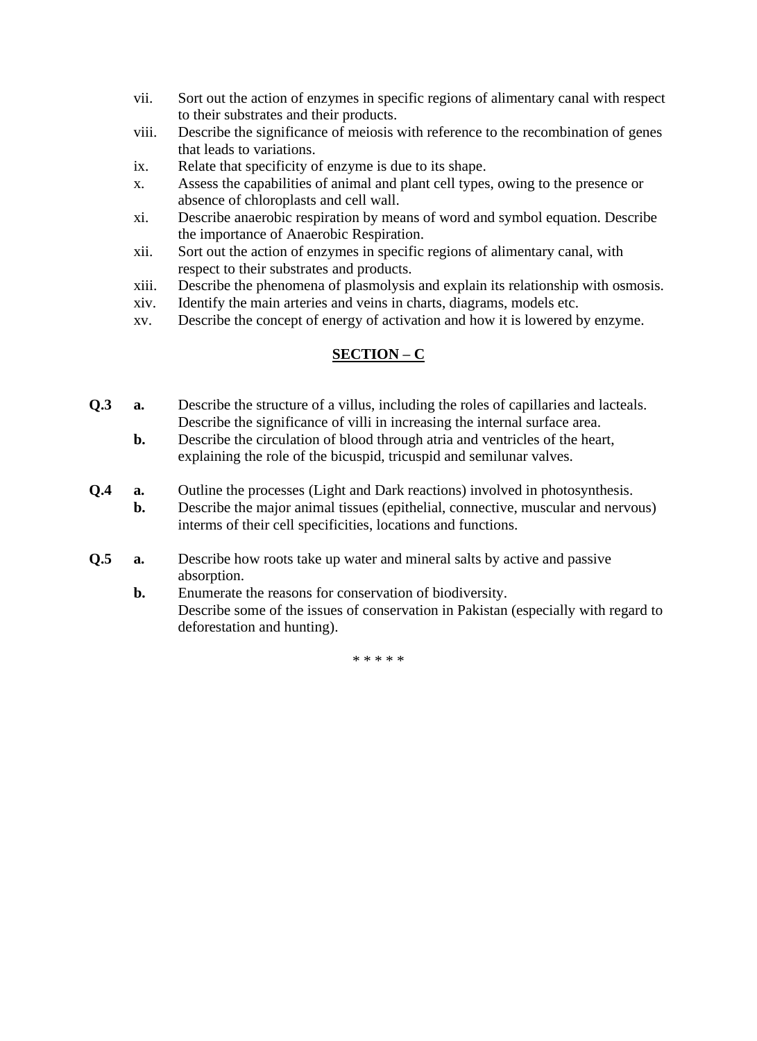- vii. Sort out the action of enzymes in specific regions of alimentary canal with respect to their substrates and their products.
- viii. Describe the significance of meiosis with reference to the recombination of genes that leads to variations.
- ix. Relate that specificity of enzyme is due to its shape.
- x. Assess the capabilities of animal and plant cell types, owing to the presence or absence of chloroplasts and cell wall.
- xi. Describe anaerobic respiration by means of word and symbol equation. Describe the importance of Anaerobic Respiration.
- xii. Sort out the action of enzymes in specific regions of alimentary canal, with respect to their substrates and products.
- xiii. Describe the phenomena of plasmolysis and explain its relationship with osmosis.
- xiv. Identify the main arteries and veins in charts, diagrams, models etc.
- xv. Describe the concept of energy of activation and how it is lowered by enzyme.

#### **SECTION – C**

- **Q.3 a.** Describe the structure of a villus, including the roles of capillaries and lacteals. Describe the significance of villi in increasing the internal surface area.
	- **b.** Describe the circulation of blood through atria and ventricles of the heart, explaining the role of the bicuspid, tricuspid and semilunar valves.
- **Q.4 a.** Outline the processes (Light and Dark reactions) involved in photosynthesis. **b.** Describe the major animal tissues (epithelial, connective, muscular and nervous) interms of their cell specificities, locations and functions.
- **Q.5 a.** Describe how roots take up water and mineral salts by active and passive absorption.
	- **b.** Enumerate the reasons for conservation of biodiversity. Describe some of the issues of conservation in Pakistan (especially with regard to deforestation and hunting).

\* \* \* \* \*